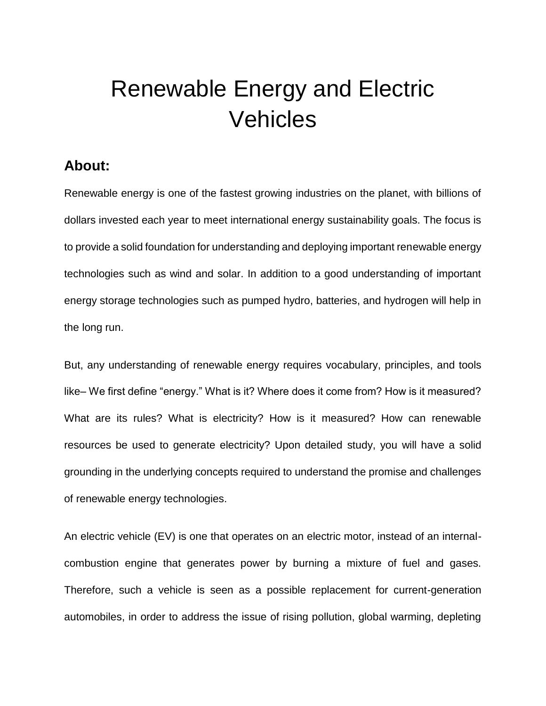# Renewable Energy and Electric Vehicles

#### **About:**

Renewable energy is one of the fastest growing industries on the planet, with billions of dollars invested each year to meet international energy sustainability goals. The focus is to provide a solid foundation for understanding and deploying important renewable energy technologies such as wind and solar. In addition to a good understanding of important energy storage technologies such as pumped hydro, batteries, and hydrogen will help in the long run.

But, any understanding of renewable energy requires vocabulary, principles, and tools like– We first define "energy." What is it? Where does it come from? How is it measured? What are its rules? What is electricity? How is it measured? How can renewable resources be used to generate electricity? Upon detailed study, you will have a solid grounding in the underlying concepts required to understand the promise and challenges of renewable energy technologies.

An electric vehicle (EV) is one that operates on an electric motor, instead of an internalcombustion engine that generates power by burning a mixture of fuel and gases. Therefore, such a vehicle is seen as a possible replacement for current-generation automobiles, in order to address the issue of rising pollution, global warming, depleting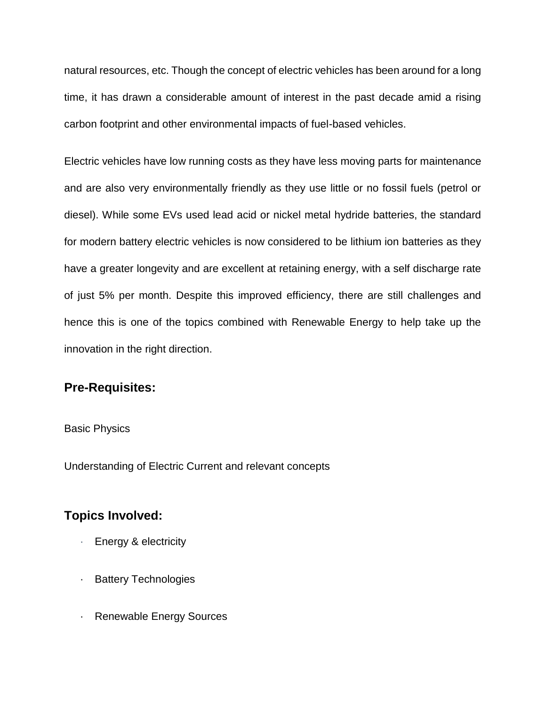natural resources, etc. Though the concept of electric vehicles has been around for a long time, it has drawn a considerable amount of interest in the past decade amid a rising carbon footprint and other environmental impacts of fuel-based vehicles.

Electric vehicles have low running costs as they have less moving parts for maintenance and are also very environmentally friendly as they use little or no fossil fuels (petrol or diesel). While some EVs used lead acid or nickel metal hydride batteries, the standard for modern battery electric vehicles is now considered to be lithium ion batteries as they have a greater longevity and are excellent at retaining energy, with a self discharge rate of just 5% per month. Despite this improved efficiency, there are still challenges and hence this is one of the topics combined with Renewable Energy to help take up the innovation in the right direction.

#### **Pre-Requisites:**

#### Basic Physics

Understanding of Electric Current and relevant concepts

#### **Topics Involved:**

- Energy & electricity
- · Battery Technologies
- · Renewable Energy Sources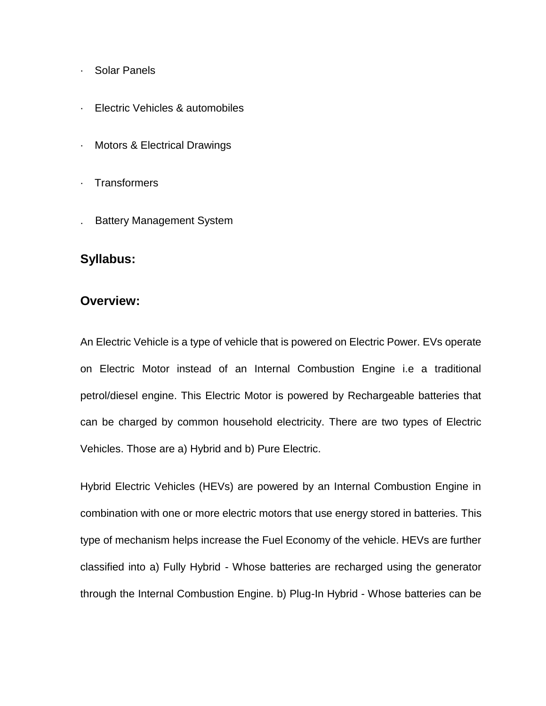- · Solar Panels
- Electric Vehicles & automobiles
- · Motors & Electrical Drawings
- · Transformers
- . Battery Management System

#### **Syllabus:**

#### **Overview:**

An Electric Vehicle is a type of vehicle that is powered on Electric Power. EVs operate on Electric Motor instead of an Internal Combustion Engine i.e a traditional petrol/diesel engine. This Electric Motor is powered by Rechargeable batteries that can be charged by common household electricity. There are two types of Electric Vehicles. Those are a) Hybrid and b) Pure Electric.

Hybrid Electric Vehicles (HEVs) are powered by an Internal Combustion Engine in combination with one or more electric motors that use energy stored in batteries. This type of mechanism helps increase the Fuel Economy of the vehicle. HEVs are further classified into a) Fully Hybrid - Whose batteries are recharged using the generator through the Internal Combustion Engine. b) Plug-In Hybrid - Whose batteries can be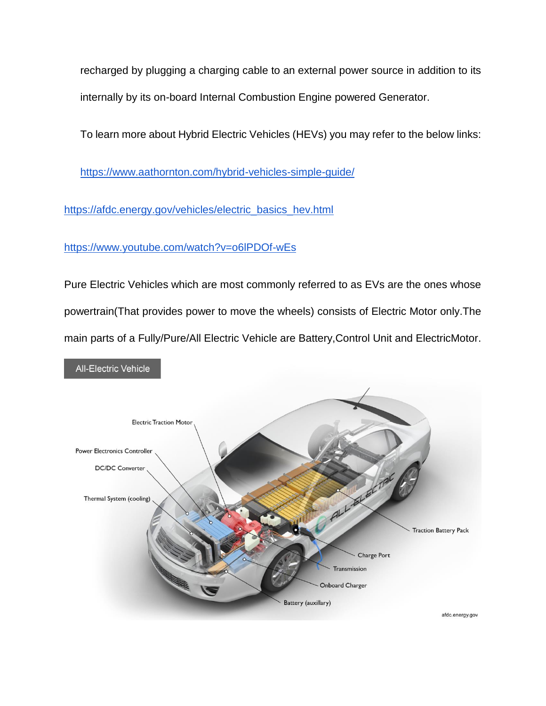recharged by plugging a charging cable to an external power source in addition to its internally by its on-board Internal Combustion Engine powered Generator.

To learn more about Hybrid Electric Vehicles (HEVs) you may refer to the below links:

<https://www.aathornton.com/hybrid-vehicles-simple-guide/>

[https://afdc.energy.gov/vehicles/electric\\_basics\\_hev.html](https://afdc.energy.gov/vehicles/electric_basics_hev.html)

<https://www.youtube.com/watch?v=o6lPDOf-wEs>

Pure Electric Vehicles which are most commonly referred to as EVs are the ones whose powertrain(That provides power to move the wheels) consists of Electric Motor only.The main parts of a Fully/Pure/All Electric Vehicle are Battery,Control Unit and ElectricMotor.

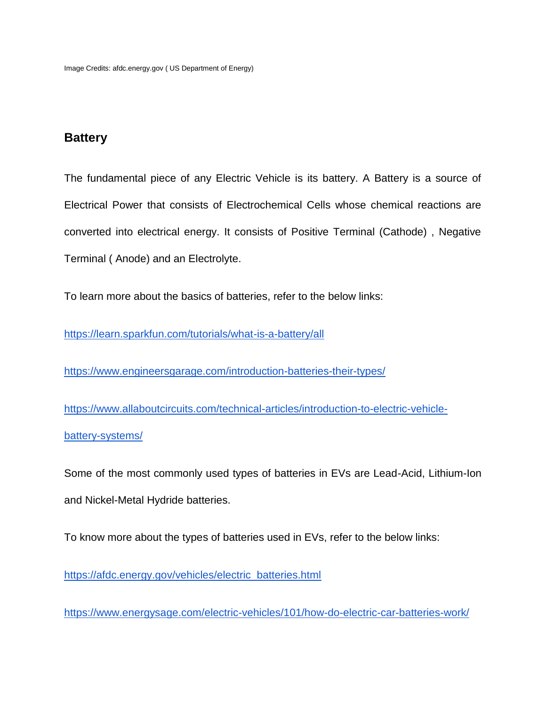#### **Battery**

The fundamental piece of any Electric Vehicle is its battery. A Battery is a source of Electrical Power that consists of Electrochemical Cells whose chemical reactions are converted into electrical energy. It consists of Positive Terminal (Cathode) , Negative Terminal ( Anode) and an Electrolyte.

To learn more about the basics of batteries, refer to the below links:

<https://learn.sparkfun.com/tutorials/what-is-a-battery/all>

<https://www.engineersgarage.com/introduction-batteries-their-types/>

[https://www.allaboutcircuits.com/technical-articles/introduction-to-electric-vehicle](https://www.allaboutcircuits.com/technical-articles/introduction-to-electric-vehicle-battery-systems/)[battery-systems/](https://www.allaboutcircuits.com/technical-articles/introduction-to-electric-vehicle-battery-systems/)

Some of the most commonly used types of batteries in EVs are Lead-Acid, Lithium-Ion and Nickel-Metal Hydride batteries.

To know more about the types of batteries used in EVs, refer to the below links:

[https://afdc.energy.gov/vehicles/electric\\_batteries.html](https://afdc.energy.gov/vehicles/electric_batteries.html)

<https://www.energysage.com/electric-vehicles/101/how-do-electric-car-batteries-work/>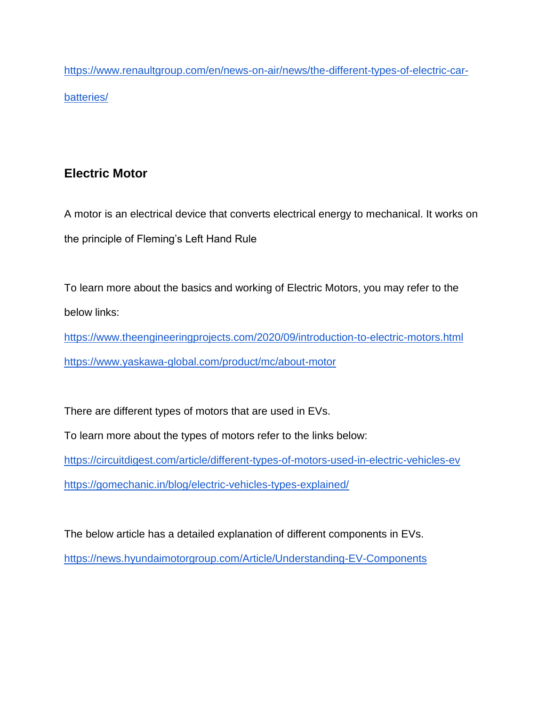[https://www.renaultgroup.com/en/news-on-air/news/the-different-types-of-electric-car](https://www.renaultgroup.com/en/news-on-air/news/the-different-types-of-electric-car-batteries/)[batteries/](https://www.renaultgroup.com/en/news-on-air/news/the-different-types-of-electric-car-batteries/)

# **Electric Motor**

A motor is an electrical device that converts electrical energy to mechanical. It works on the principle of Fleming's Left Hand Rule

To learn more about the basics and working of Electric Motors, you may refer to the below links:

<https://www.theengineeringprojects.com/2020/09/introduction-to-electric-motors.html> <https://www.yaskawa-global.com/product/mc/about-motor>

There are different types of motors that are used in EVs. To learn more about the types of motors refer to the links below:

<https://circuitdigest.com/article/different-types-of-motors-used-in-electric-vehicles-ev> <https://gomechanic.in/blog/electric-vehicles-types-explained/>

The below article has a detailed explanation of different components in EVs. <https://news.hyundaimotorgroup.com/Article/Understanding-EV-Components>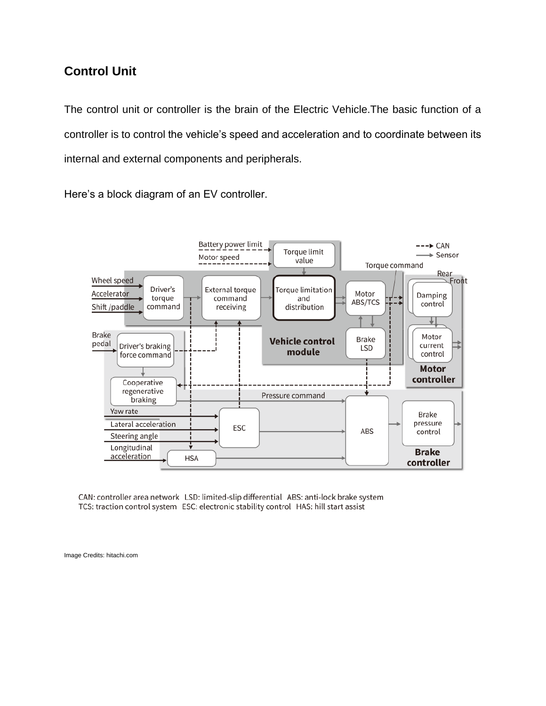#### **Control Unit**

The control unit or controller is the brain of the Electric Vehicle.The basic function of a controller is to control the vehicle's speed and acceleration and to coordinate between its internal and external components and peripherals.

Here's a block diagram of an EV controller.



CAN: controller area network LSD: limited-slip differential ABS: anti-lock brake system TCS: traction control system ESC: electronic stability control HAS: hill start assist

Image Credits: hitachi.com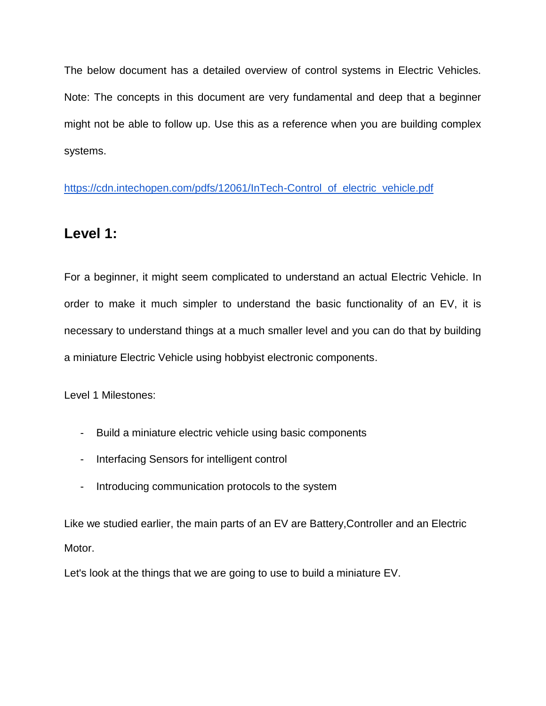The below document has a detailed overview of control systems in Electric Vehicles. Note: The concepts in this document are very fundamental and deep that a beginner might not be able to follow up. Use this as a reference when you are building complex systems.

[https://cdn.intechopen.com/pdfs/12061/InTech-Control\\_of\\_electric\\_vehicle.pdf](https://cdn.intechopen.com/pdfs/12061/InTech-Control_of_electric_vehicle.pdf)

# **Level 1:**

For a beginner, it might seem complicated to understand an actual Electric Vehicle. In order to make it much simpler to understand the basic functionality of an EV, it is necessary to understand things at a much smaller level and you can do that by building a miniature Electric Vehicle using hobbyist electronic components.

Level 1 Milestones:

- Build a miniature electric vehicle using basic components
- Interfacing Sensors for intelligent control
- Introducing communication protocols to the system

Like we studied earlier, the main parts of an EV are Battery,Controller and an Electric Motor.

Let's look at the things that we are going to use to build a miniature EV.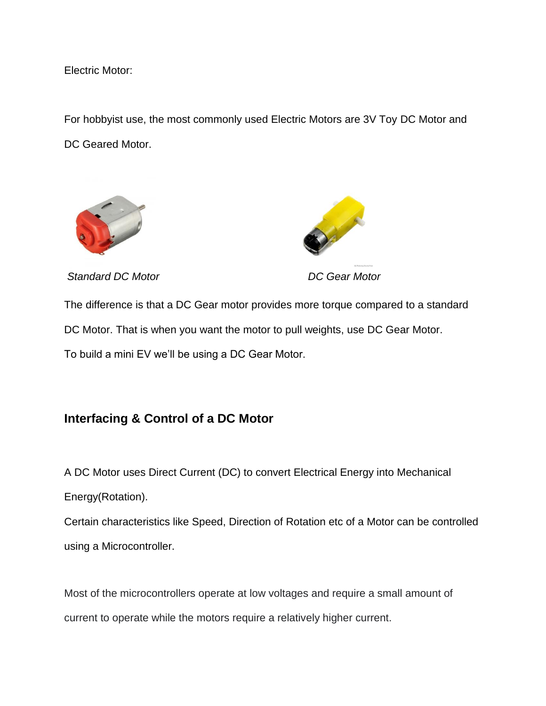Electric Motor:

For hobbyist use, the most commonly used Electric Motors are 3V Toy DC Motor and DC Geared Motor.





*Standard DC Motor DC Gear Motor*

The difference is that a DC Gear motor provides more torque compared to a standard DC Motor. That is when you want the motor to pull weights, use DC Gear Motor. To build a mini EV we'll be using a DC Gear Motor.

## **Interfacing & Control of a DC Motor**

A DC Motor uses Direct Current (DC) to convert Electrical Energy into Mechanical

Energy(Rotation).

Certain characteristics like Speed, Direction of Rotation etc of a Motor can be controlled using a Microcontroller.

Most of the microcontrollers operate at low voltages and require a small amount of current to operate while the motors require a relatively higher current.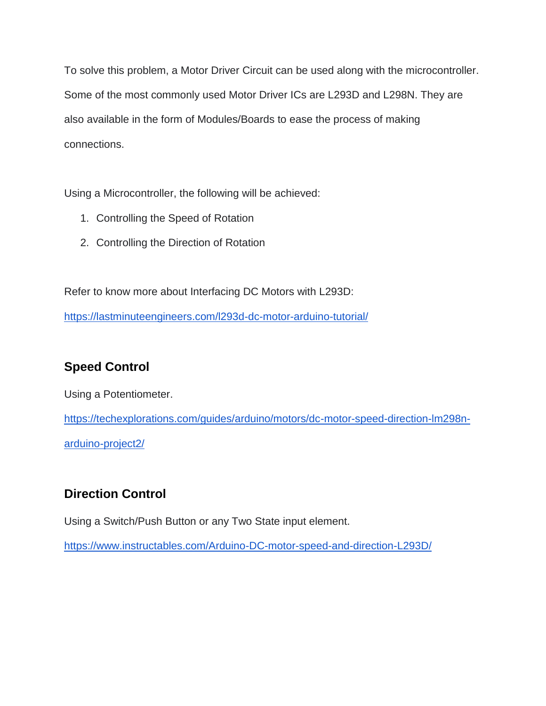To solve this problem, a Motor Driver Circuit can be used along with the microcontroller. Some of the most commonly used Motor Driver ICs are L293D and L298N. They are also available in the form of Modules/Boards to ease the process of making connections.

Using a Microcontroller, the following will be achieved:

- 1. Controlling the Speed of Rotation
- 2. Controlling the Direction of Rotation

Refer to know more about Interfacing DC Motors with L293D:

<https://lastminuteengineers.com/l293d-dc-motor-arduino-tutorial/>

# **Speed Control**

Using a Potentiometer.

[https://techexplorations.com/guides/arduino/motors/dc-motor-speed-direction-lm298n](https://techexplorations.com/guides/arduino/motors/dc-motor-speed-direction-lm298n-arduino-project2/)[arduino-project2/](https://techexplorations.com/guides/arduino/motors/dc-motor-speed-direction-lm298n-arduino-project2/)

# **Direction Control**

Using a Switch/Push Button or any Two State input element.

<https://www.instructables.com/Arduino-DC-motor-speed-and-direction-L293D/>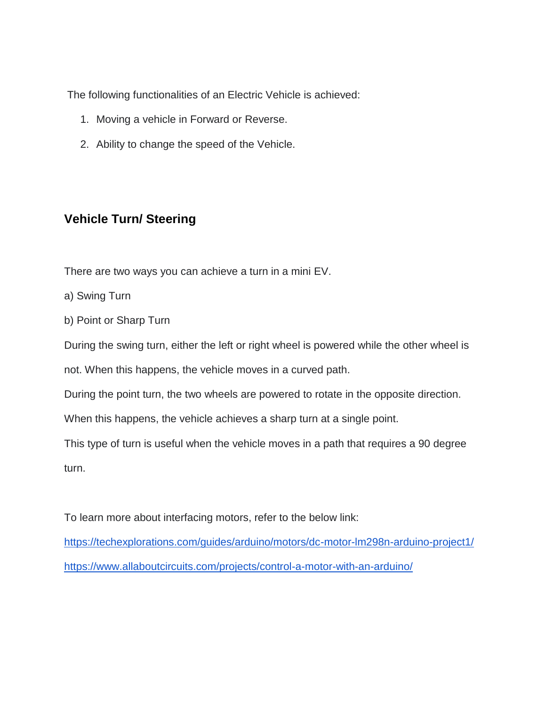The following functionalities of an Electric Vehicle is achieved:

- 1. Moving a vehicle in Forward or Reverse.
- 2. Ability to change the speed of the Vehicle.

#### **Vehicle Turn/ Steering**

There are two ways you can achieve a turn in a mini EV.

- a) Swing Turn
- b) Point or Sharp Turn

During the swing turn, either the left or right wheel is powered while the other wheel is

not. When this happens, the vehicle moves in a curved path.

During the point turn, the two wheels are powered to rotate in the opposite direction.

When this happens, the vehicle achieves a sharp turn at a single point.

This type of turn is useful when the vehicle moves in a path that requires a 90 degree turn.

To learn more about interfacing motors, refer to the below link:

<https://techexplorations.com/guides/arduino/motors/dc-motor-lm298n-arduino-project1/> <https://www.allaboutcircuits.com/projects/control-a-motor-with-an-arduino/>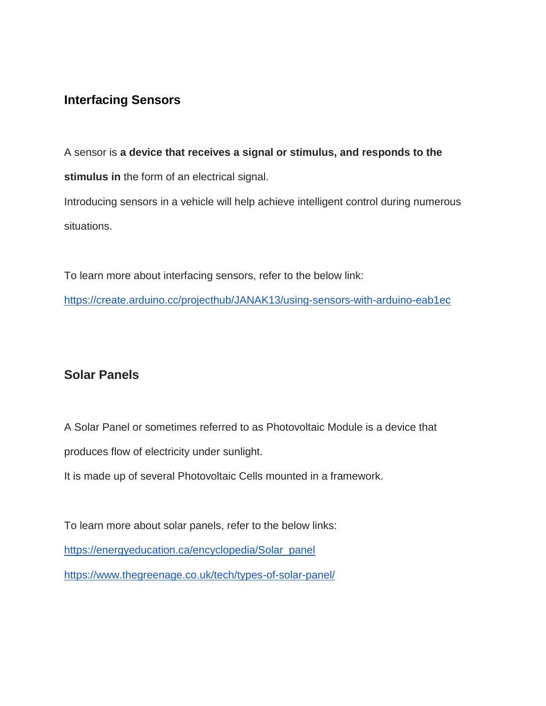#### **Interfacing Sensors**

A sensor is **a device that receives a signal or stimulus, and responds to the stimulus in** the form of an electrical signal. Introducing sensors in a vehicle will help achieve intelligent control during numerous situations.

To learn more about interfacing sensors, refer to the below link: <https://create.arduino.cc/projecthub/JANAK13/using-sensors-with-arduino-eab1ec>

#### **Solar Panels**

A Solar Panel or sometimes referred to as Photovoltaic Module is a device that produces flow of electricity under sunlight.

It is made up of several Photovoltaic Cells mounted in a framework.

To learn more about solar panels, refer to the below links: [https://energyeducation.ca/encyclopedia/Solar\\_panel](https://energyeducation.ca/encyclopedia/Solar_panel) <https://www.thegreenage.co.uk/tech/types-of-solar-panel/>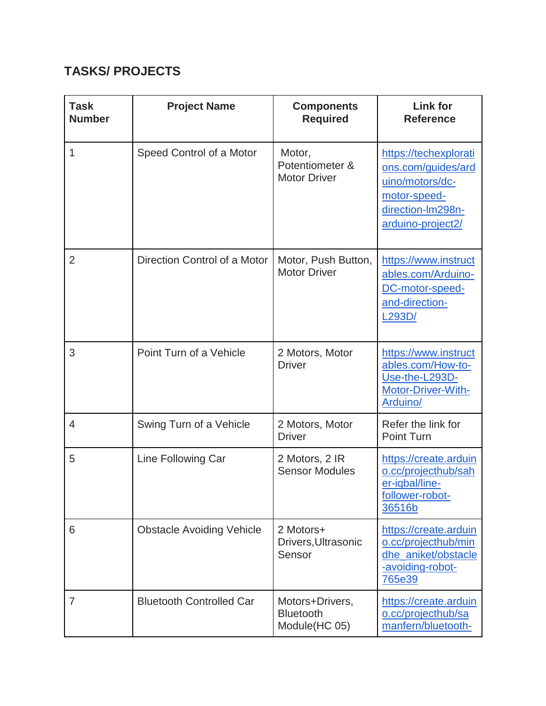# **TASKS/ PROJECTS**

| <b>Task</b><br><b>Number</b> | <b>Project Name</b>              | <b>Components</b><br><b>Required</b>                 | <b>Link for</b><br><b>Reference</b>                                                                                      |
|------------------------------|----------------------------------|------------------------------------------------------|--------------------------------------------------------------------------------------------------------------------------|
| 1                            | Speed Control of a Motor         | Motor,<br>Potentiometer &<br><b>Motor Driver</b>     | https://techexplorati<br>ons.com/guides/ard<br>uino/motors/dc-<br>motor-speed-<br>direction-Im298n-<br>arduino-project2/ |
| $\overline{2}$               | Direction Control of a Motor     | Motor, Push Button,<br><b>Motor Driver</b>           | https://www.instruct<br>ables.com/Arduino-<br>DC-motor-speed-<br>and-direction-<br>L <sub>293</sub> D/                   |
| 3                            | Point Turn of a Vehicle          | 2 Motors, Motor<br><b>Driver</b>                     | https://www.instruct<br>ables.com/How-to-<br>Use-the-L293D-<br>Motor-Driver-With-<br>Arduino/                            |
| $\overline{4}$               | Swing Turn of a Vehicle          | 2 Motors, Motor<br><b>Driver</b>                     | Refer the link for<br><b>Point Turn</b>                                                                                  |
| 5                            | Line Following Car               | 2 Motors, 2 IR<br><b>Sensor Modules</b>              | https://create.arduin<br>o.cc/projecthub/sah<br>er-iqbal/line-<br>follower-robot-<br>36516b                              |
| 6                            | <b>Obstacle Avoiding Vehicle</b> | 2 Motors+<br>Drivers, Ultrasonic<br>Sensor           | https://create.arduin<br>o.cc/projecthub/min<br>dhe_aniket/obstacle<br>-avoiding-robot-<br>765e39                        |
| 7                            | <b>Bluetooth Controlled Car</b>  | Motors+Drivers,<br><b>Bluetooth</b><br>Module(HC 05) | https://create.arduin<br>o.cc/projecthub/sa<br>manfern/bluetooth-                                                        |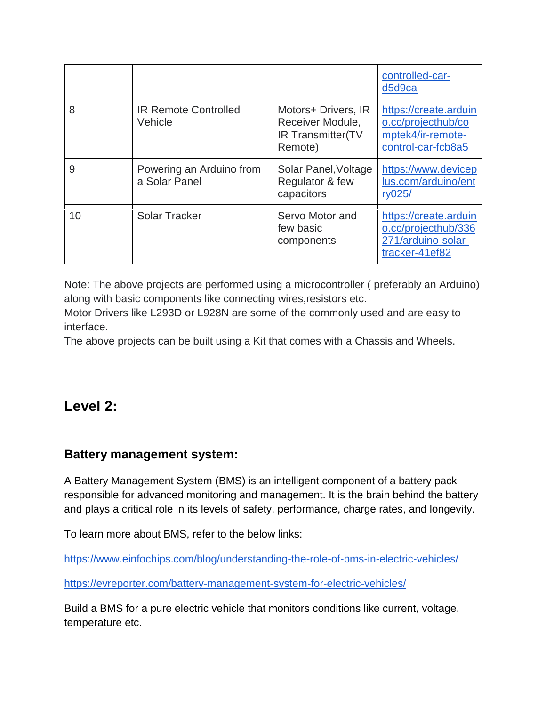|    |                                           |                                                                         | controlled-car-<br>d5d9ca                                                              |
|----|-------------------------------------------|-------------------------------------------------------------------------|----------------------------------------------------------------------------------------|
| 8  | <b>IR Remote Controlled</b><br>Vehicle    | Motors+ Drivers, IR<br>Receiver Module,<br>IR Transmitter(TV<br>Remote) | https://create.arduin<br>o.cc/projecthub/co<br>mptek4/ir-remote-<br>control-car-fcb8a5 |
| 9  | Powering an Arduino from<br>a Solar Panel | Solar Panel, Voltage<br>Regulator & few<br>capacitors                   | https://www.devicep<br>lus.com/arduino/ent<br>ry025/                                   |
| 10 | <b>Solar Tracker</b>                      | Servo Motor and<br>few basic<br>components                              | https://create.arduin<br>o.cc/projecthub/336<br>271/arduino-solar-<br>tracker-41ef82   |

Note: The above projects are performed using a microcontroller ( preferably an Arduino) along with basic components like connecting wires,resistors etc.

Motor Drivers like L293D or L928N are some of the commonly used and are easy to interface.

The above projects can be built using a Kit that comes with a Chassis and Wheels.

# **Level 2:**

#### **Battery management system:**

A Battery Management System (BMS) is an intelligent component of a battery pack responsible for advanced monitoring and management. It is the brain behind the battery and plays a critical role in its levels of safety, performance, charge rates, and longevity.

To learn more about BMS, refer to the below links:

<https://www.einfochips.com/blog/understanding-the-role-of-bms-in-electric-vehicles/>

<https://evreporter.com/battery-management-system-for-electric-vehicles/>

Build a BMS for a pure electric vehicle that monitors conditions like current, voltage, temperature etc.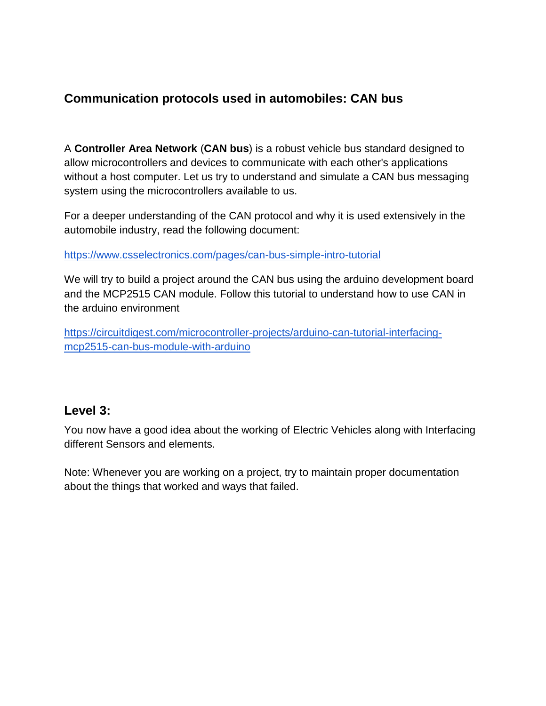## **Communication protocols used in automobiles: CAN bus**

A **Controller Area Network** (**CAN bus**) is a robust vehicle bus standard designed to allow microcontrollers and devices to communicate with each other's applications without a host computer. Let us try to understand and simulate a CAN bus messaging system using the microcontrollers available to us.

For a deeper understanding of the CAN protocol and why it is used extensively in the automobile industry, read the following document:

<https://www.csselectronics.com/pages/can-bus-simple-intro-tutorial>

We will try to build a project around the CAN bus using the arduino development board and the MCP2515 CAN module. Follow this tutorial to understand how to use CAN in the arduino environment

[https://circuitdigest.com/microcontroller-projects/arduino-can-tutorial-interfacing](https://circuitdigest.com/microcontroller-projects/arduino-can-tutorial-interfacing-mcp2515-can-bus-module-with-arduino)[mcp2515-can-bus-module-with-arduino](https://circuitdigest.com/microcontroller-projects/arduino-can-tutorial-interfacing-mcp2515-can-bus-module-with-arduino)

#### **Level 3:**

You now have a good idea about the working of Electric Vehicles along with Interfacing different Sensors and elements.

Note: Whenever you are working on a project, try to maintain proper documentation about the things that worked and ways that failed.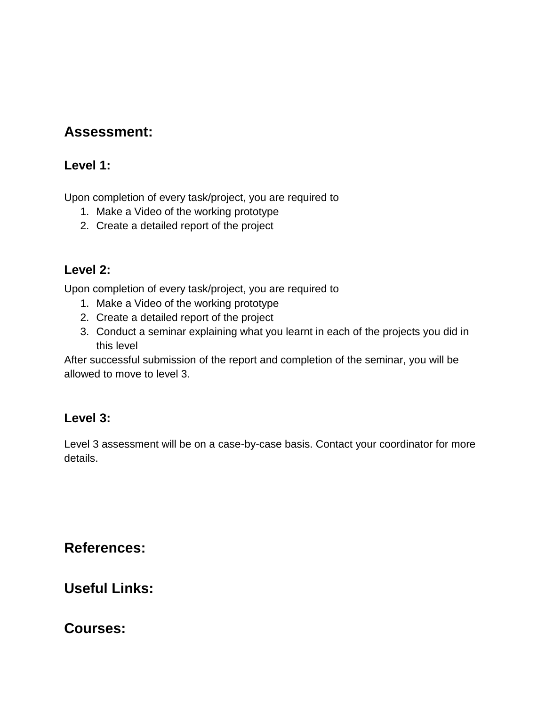# **Assessment:**

#### **Level 1:**

Upon completion of every task/project, you are required to

- 1. Make a Video of the working prototype
- 2. Create a detailed report of the project

#### **Level 2:**

Upon completion of every task/project, you are required to

- 1. Make a Video of the working prototype
- 2. Create a detailed report of the project
- 3. Conduct a seminar explaining what you learnt in each of the projects you did in this level

After successful submission of the report and completion of the seminar, you will be allowed to move to level 3.

## **Level 3:**

Level 3 assessment will be on a case-by-case basis. Contact your coordinator for more details.

**References:**

**Useful Links:**

**Courses:**